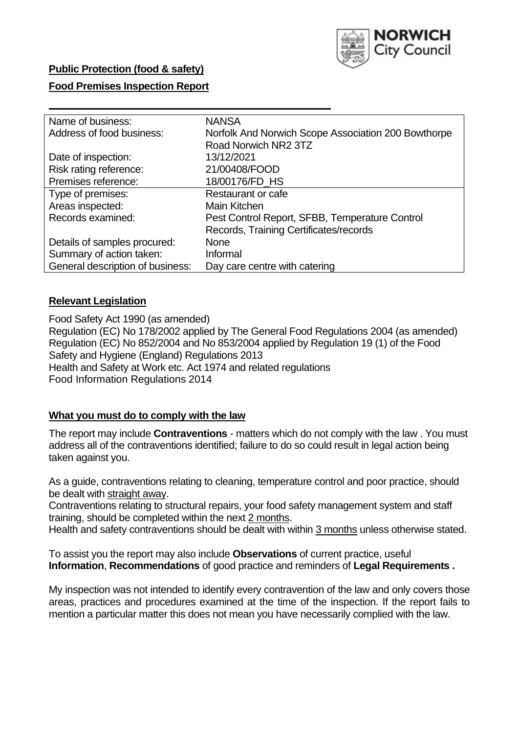

## **Public Protection (food & safety)**

### **Food Premises Inspection Report**

| Name of business:                | <b>NANSA</b>                                        |
|----------------------------------|-----------------------------------------------------|
| Address of food business:        | Norfolk And Norwich Scope Association 200 Bowthorpe |
|                                  | Road Norwich NR2 3TZ                                |
| Date of inspection:              | 13/12/2021                                          |
| Risk rating reference:           | 21/00408/FOOD                                       |
| Premises reference:              | 18/00176/FD HS                                      |
| Type of premises:                | Restaurant or cafe                                  |
| Areas inspected:                 | Main Kitchen                                        |
| Records examined:                | Pest Control Report, SFBB, Temperature Control      |
|                                  | Records, Training Certificates/records              |
| Details of samples procured:     | <b>None</b>                                         |
| Summary of action taken:         | Informal                                            |
| General description of business: | Day care centre with catering                       |
|                                  |                                                     |

## **Relevant Legislation**

 Food Safety Act 1990 (as amended) Regulation (EC) No 178/2002 applied by The General Food Regulations 2004 (as amended) Regulation (EC) No 852/2004 and No 853/2004 applied by Regulation 19 (1) of the Food Safety and Hygiene (England) Regulations 2013 Health and Safety at Work etc. Act 1974 and related regulations Food Information Regulations 2014

## **What you must do to comply with the law**

 The report may include **Contraventions** - matters which do not comply with the law . You must address all of the contraventions identified; failure to do so could result in legal action being taken against you.

 As a guide, contraventions relating to cleaning, temperature control and poor practice, should be dealt with straight away.

 Contraventions relating to structural repairs, your food safety management system and staff training, should be completed within the next 2 months.

Health and safety contraventions should be dealt with within 3 months unless otherwise stated.

 To assist you the report may also include **Observations** of current practice, useful **Information**, **Recommendations** of good practice and reminders of **Legal Requirements .** 

 My inspection was not intended to identify every contravention of the law and only covers those areas, practices and procedures examined at the time of the inspection. If the report fails to mention a particular matter this does not mean you have necessarily complied with the law.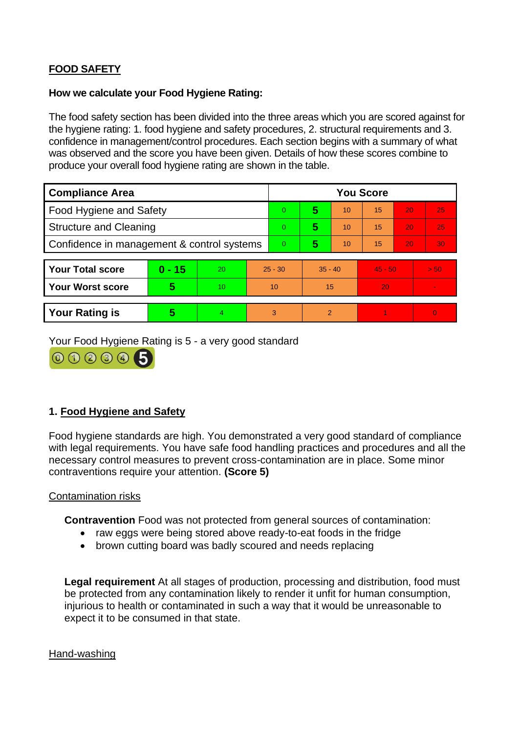# **FOOD SAFETY**

## **How we calculate your Food Hygiene Rating:**

 The food safety section has been divided into the three areas which you are scored against for the hygiene rating: 1. food hygiene and safety procedures, 2. structural requirements and 3. confidence in management/control procedures. Each section begins with a summary of what was observed and the score you have been given. Details of how these scores combine to produce your overall food hygiene rating are shown in the table.

| <b>Compliance Area</b>                     |          |    |                | <b>You Score</b> |                |    |           |    |                |  |  |
|--------------------------------------------|----------|----|----------------|------------------|----------------|----|-----------|----|----------------|--|--|
| Food Hygiene and Safety                    |          |    |                | $\overline{0}$   | 5              | 10 | 15        | 20 | 25             |  |  |
| <b>Structure and Cleaning</b>              |          |    |                | $\overline{0}$   | 5              | 10 | 15        | 20 | 25             |  |  |
| Confidence in management & control systems |          |    | $\overline{0}$ | 5                | 10             | 15 | 20        | 30 |                |  |  |
|                                            |          |    |                |                  |                |    |           |    |                |  |  |
| <b>Your Total score</b>                    | $0 - 15$ | 20 | $25 - 30$      |                  | $35 - 40$      |    | $45 - 50$ |    | > 50           |  |  |
| <b>Your Worst score</b>                    | 5        | 10 | 10             |                  | 15             |    | 20        |    | $\blacksquare$ |  |  |
|                                            |          |    |                |                  |                |    |           |    |                |  |  |
| <b>Your Rating is</b>                      | 5        | 4  | 3              |                  | $\overline{2}$ |    |           |    | $\Omega$       |  |  |

Your Food Hygiene Rating is 5 - a very good standard



## **1. Food Hygiene and Safety**

 with legal requirements. You have safe food handling practices and procedures and all the Food hygiene standards are high. You demonstrated a very good standard of compliance necessary control measures to prevent cross-contamination are in place. Some minor contraventions require your attention. **(Score 5)** 

## Contamination risks

**Contravention** Food was not protected from general sources of contamination:

- raw eggs were being stored above ready-to-eat foods in the fridge
- brown cutting board was badly scoured and needs replacing

 injurious to health or contaminated in such a way that it would be unreasonable to **Legal requirement** At all stages of production, processing and distribution, food must be protected from any contamination likely to render it unfit for human consumption, expect it to be consumed in that state.

#### Hand-washing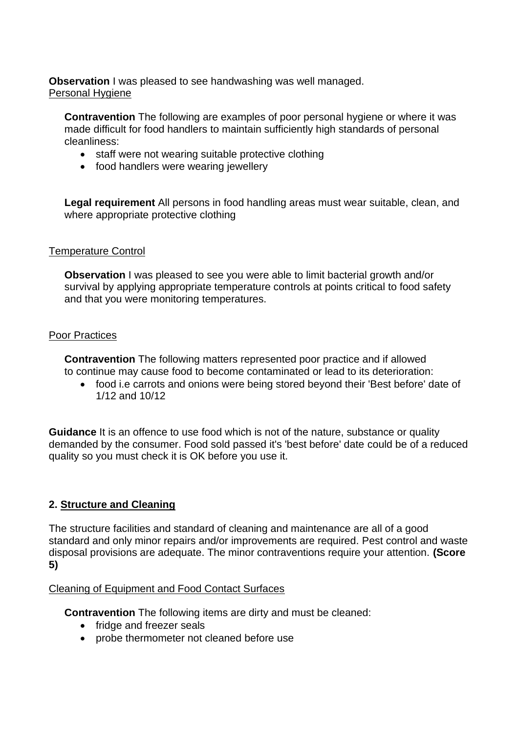**Observation** I was pleased to see handwashing was well managed. Personal Hygiene

 made difficult for food handlers to maintain sufficiently high standards of personal **Contravention** The following are examples of poor personal hygiene or where it was cleanliness:

- staff were not wearing suitable protective clothing
- food handlers were wearing jewellery

**Legal requirement** All persons in food handling areas must wear suitable, clean, and where appropriate protective clothing

## Temperature Control

**Observation I** was pleased to see you were able to limit bacterial growth and/or survival by applying appropriate temperature controls at points critical to food safety and that you were monitoring temperatures.

#### Poor Practices

 **Contravention** The following matters represented poor practice and if allowed to continue may cause food to become contaminated or lead to its deterioration:

• food i.e carrots and onions were being stored beyond their 'Best before' date of 1/12 and 10/12

**Guidance** It is an offence to use food which is not of the nature, substance or quality demanded by the consumer. Food sold passed it's 'best before' date could be of a reduced quality so you must check it is OK before you use it.

## **2. Structure and Cleaning**

 The structure facilities and standard of cleaning and maintenance are all of a good standard and only minor repairs and/or improvements are required. Pest control and waste disposal provisions are adequate. The minor contraventions require your attention. **(Score 5)** 

## Cleaning of Equipment and Food Contact Surfaces

**Contravention** The following items are dirty and must be cleaned:

- fridge and freezer seals
- probe thermometer not cleaned before use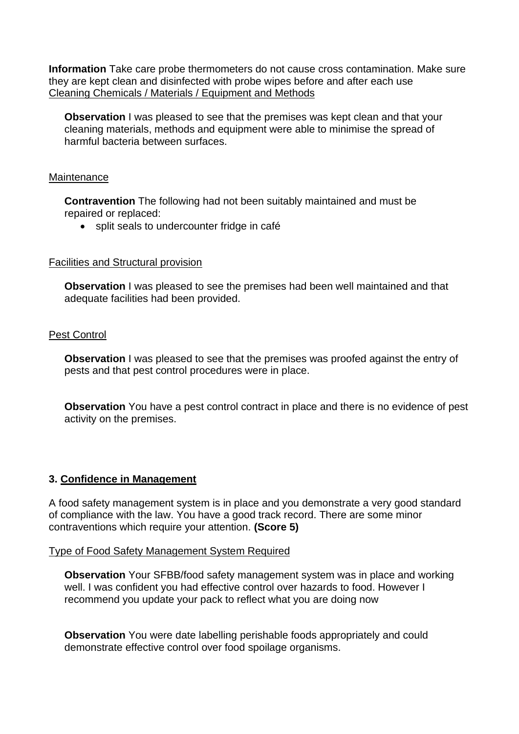**Information** Take care probe thermometers do not cause cross contamination. Make sure they are kept clean and disinfected with probe wipes before and after each use Cleaning Chemicals / Materials / Equipment and Methods

**Observation** I was pleased to see that the premises was kept clean and that your cleaning materials, methods and equipment were able to minimise the spread of harmful bacteria between surfaces.

#### **Maintenance**

**Contravention** The following had not been suitably maintained and must be repaired or replaced:

• split seals to undercounter fridge in café

#### Facilities and Structural provision

 **Observation** I was pleased to see the premises had been well maintained and that adequate facilities had been provided.

## Pest Control

**Observation** I was pleased to see that the premises was proofed against the entry of pests and that pest control procedures were in place.

 **Observation** You have a pest control contract in place and there is no evidence of pest activity on the premises.

## **3. Confidence in Management**

A food safety management system is in place and you demonstrate a very good standard of compliance with the law. You have a good track record. There are some minor contraventions which require your attention. **(Score 5)** 

#### Type of Food Safety Management System Required

**Observation** Your SFBB/food safety management system was in place and working well. I was confident you had effective control over hazards to food. However I recommend you update your pack to reflect what you are doing now

 demonstrate effective control over food spoilage organisms. **Observation** You were date labelling perishable foods appropriately and could